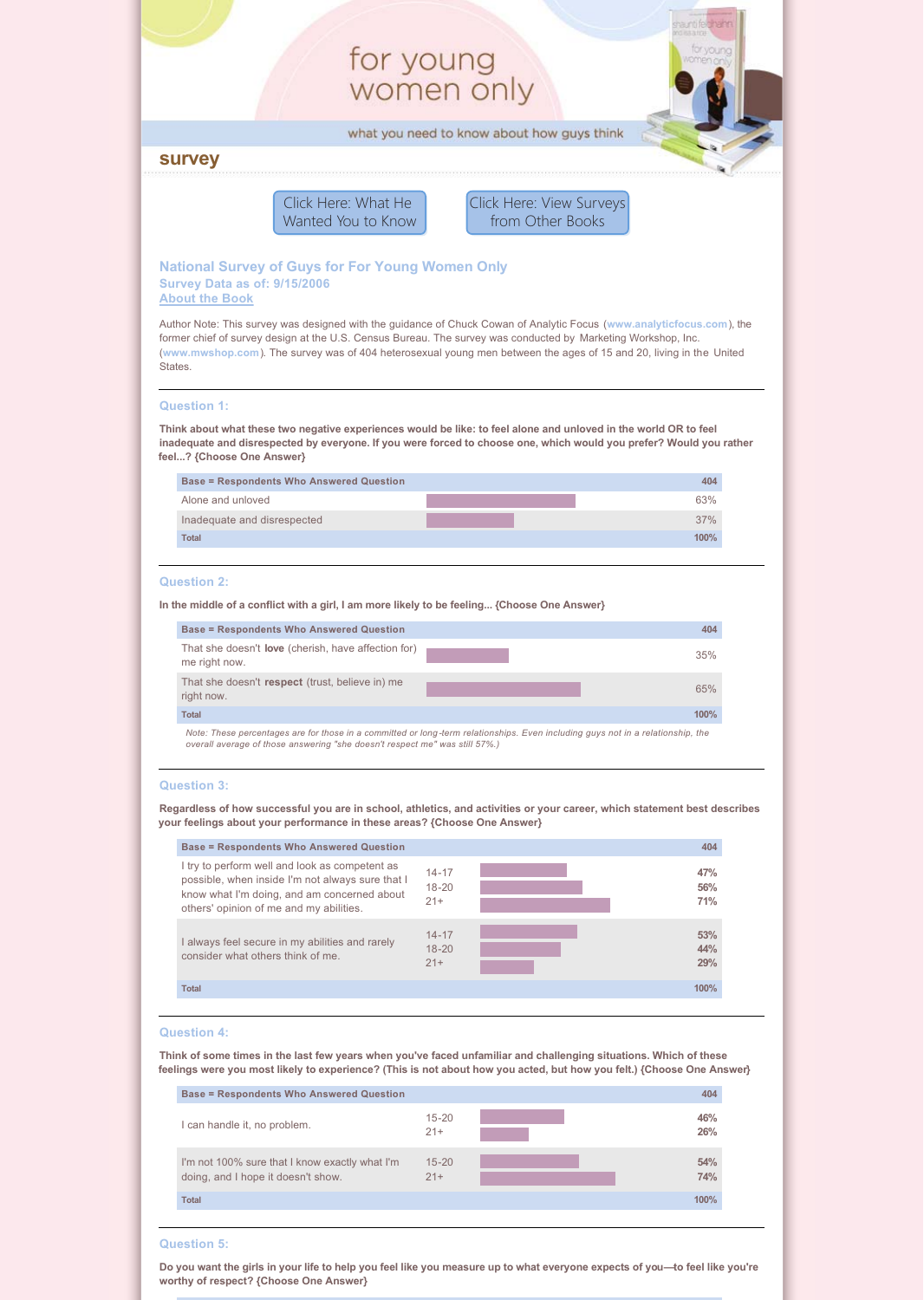# for young women only

what you need to know about how guys think

# **survey**

Click Here: What He [Wanted You to Know](#page-3-0) [Click Here: View Surveys](#page-3-0) from Other Books

# **National Survey of Guys for For Young Women Only Survey Data as of: 9/15/2006 [About the Book](http://www.shaunti.com/book/for-young-women-only/)**

Author Note: This survey was designed with the guidance of Chuck Cowan of Analytic Focus (**[www.analyticfocus.com](http://www.analyticfocus.com/)**), the former chief of survey design at the U.S. Census Bureau. The survey was conducted by Marketing Workshop, Inc. (**[www.mwshop.com](http://www.mwshop.com/)**). The survey was of 404 heterosexual young men between the ages of 15 and 20, living in the United States.

#### **Question 1:**

**Think about what these two negative experiences would be like: to feel alone and unloved in the world OR to feel inadequate and disrespected by everyone. If you were forced to choose one, which would you prefer? Would you rather feel...? {Choose One Answer}**

| <b>Base = Respondents Who Answered Question</b> | 404  |
|-------------------------------------------------|------|
| Alone and unloved                               | 63%  |
| Inadequate and disrespected                     | 37%  |
| <b>Total</b>                                    | 100% |

# **Question 2:**

**In the middle of a conflict with a girl, I am more likely to be feeling... {Choose One Answer}**

| <b>Base = Respondents Who Answered Question</b>                             | 404                                                                                                                             |
|-----------------------------------------------------------------------------|---------------------------------------------------------------------------------------------------------------------------------|
| That she doesn't <b>love</b> (cherish, have affection for)<br>me right now. | 35%                                                                                                                             |
| That she doesn't respect (trust, believe in) me<br>right now.               | 65%                                                                                                                             |
| <b>Total</b>                                                                | 100%                                                                                                                            |
| overall average of those answering "she doesn't respect me" was still 57%.) | Note: These percentages are for those in a committed or long-term relationships. Even including guys not in a relationship, the |

#### **Question 3:**

**Regardless of how successful you are in school, athletics, and activities or your career, which statement best describes your feelings about your performance in these areas? {Choose One Answer}**

| <b>Base = Respondents Who Answered Question</b>                                                                                                                                              |                                 | 404               |
|----------------------------------------------------------------------------------------------------------------------------------------------------------------------------------------------|---------------------------------|-------------------|
| I try to perform well and look as competent as<br>possible, when inside I'm not always sure that I<br>know what I'm doing, and am concerned about<br>others' opinion of me and my abilities. | $14 - 17$<br>$18 - 20$<br>$21+$ | 47%<br>56%<br>71% |
| I always feel secure in my abilities and rarely<br>consider what others think of me.                                                                                                         | $14 - 17$<br>$18 - 20$<br>$21+$ | 53%<br>44%<br>29% |
| Total                                                                                                                                                                                        |                                 | 100%              |

#### **Question 4:**

**Think of some times in the last few years when you've faced unfamiliar and challenging situations. Which of these feelings were you most likely to experience? (This is not about how you acted, but how you felt.) {Choose One Answer}**

| <b>Base = Respondents Who Answered Question</b>                                      |                    | 404        |
|--------------------------------------------------------------------------------------|--------------------|------------|
| I can handle it, no problem.                                                         | $15 - 20$<br>$21+$ | 46%<br>26% |
| I'm not 100% sure that I know exactly what I'm<br>doing, and I hope it doesn't show. | $15 - 20$<br>$21+$ | 54%<br>74% |
| <b>Total</b>                                                                         |                    | 100%       |

#### **Question 5:**

**Do you want the girls in your life to help you feel like you measure up to what everyone expects of you—to feel like you're worthy of respect? {Choose One Answer}**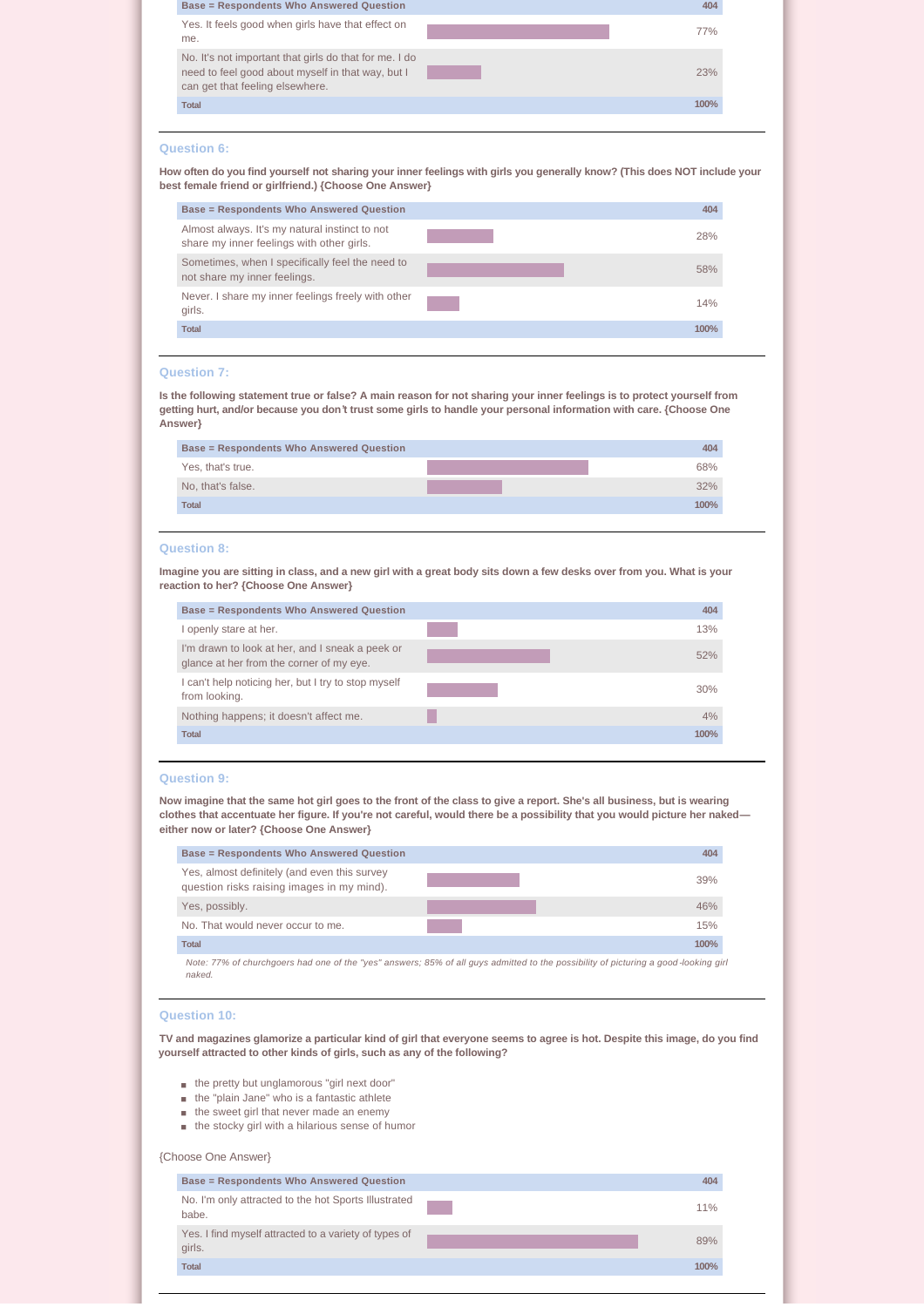| <b>Base = Respondents Who Answered Question</b>                                                                                                |      |
|------------------------------------------------------------------------------------------------------------------------------------------------|------|
| Yes. It feels good when girls have that effect on<br>me.                                                                                       | 77%  |
| No. It's not important that girls do that for me. I do<br>need to feel good about myself in that way, but I<br>can get that feeling elsewhere. | 23%  |
| Total                                                                                                                                          | 100% |
|                                                                                                                                                |      |

# **Question 6:**

**How often do you find yourself not sharing your inner feelings with girls you generally know? (This does NOT include your best female friend or girlfriend.) {Choose One Answer}**

| <b>Base = Respondents Who Answered Question</b>                                             | 404  |
|---------------------------------------------------------------------------------------------|------|
| Almost always. It's my natural instinct to not<br>share my inner feelings with other girls. | 28%  |
| Sometimes, when I specifically feel the need to<br>not share my inner feelings.             | 58%  |
| Never. I share my inner feelings freely with other<br>girls.                                | 14%  |
| <b>Total</b>                                                                                | 100% |

# **Question 7:**

**Is the following statement true or false? A main reason for not sharing your inner feelings is to protect yourself from getting hurt, and/or because you don't trust some girls to handle your personal information with care. {Choose One Answer}**

| <b>Base = Respondents Who Answered Question</b> | 404  |
|-------------------------------------------------|------|
| Yes, that's true.                               | 68%  |
| No, that's false.                               | 32%  |
| <b>Total</b>                                    | 100% |

#### **Question 8:**

**Imagine you are sitting in class, and a new girl with a great body sits down a few desks over from you. What is your reaction to her? {Choose One Answer}**

| <b>Base = Respondents Who Answered Question</b>                                             | 404  |
|---------------------------------------------------------------------------------------------|------|
| openly stare at her.                                                                        | 13%  |
| I'm drawn to look at her, and I sneak a peek or<br>glance at her from the corner of my eye. | 52%  |
| I can't help noticing her, but I try to stop myself<br>from looking.                        | 30%  |
| Nothing happens; it doesn't affect me.                                                      | 4%   |
| <b>Total</b>                                                                                | 100% |

### **Question 9:**

**Now imagine that the same hot girl goes to the front of the class to give a report. She's all business, but is wearing clothes that accentuate her figure. If you're not careful, would there be a possibility that you would picture her naked either now or later? {Choose One Answer}**

| <b>Base = Respondents Who Answered Question</b>                                                                                               | 404  |
|-----------------------------------------------------------------------------------------------------------------------------------------------|------|
| Yes, almost definitely (and even this survey<br>question risks raising images in my mind).                                                    | 39%  |
| Yes, possibly.                                                                                                                                | 46%  |
| No. That would never occur to me.                                                                                                             | 15%  |
| <b>Total</b>                                                                                                                                  | 100% |
| Note: 77% of churchgoers had one of the "yes" answers; 85% of all guys admitted to the possibility of picturing a good-looking girl<br>naked. |      |

#### **Question 10:**

**TV and magazines glamorize a particular kind of girl that everyone seems to agree is hot. Despite this image, do you find yourself attracted to other kinds of girls, such as any of the following?**

- $n$  the pretty but unglamorous "girl next door"
- $n =$  the "plain Jane" who is a fantastic athlete
- $n \neq 0$  the sweet girl that never made an enemy
- $n$  the stocky girl with a hilarious sense of humor

# {Choose One Answer}

| <b>Base = Respondents Who Answered Question</b>                 | 404  |
|-----------------------------------------------------------------|------|
| No. I'm only attracted to the hot Sports Illustrated<br>babe.   | 11%  |
| Yes. I find myself attracted to a variety of types of<br>girls. | 89%  |
| <b>Total</b>                                                    | 100% |
|                                                                 |      |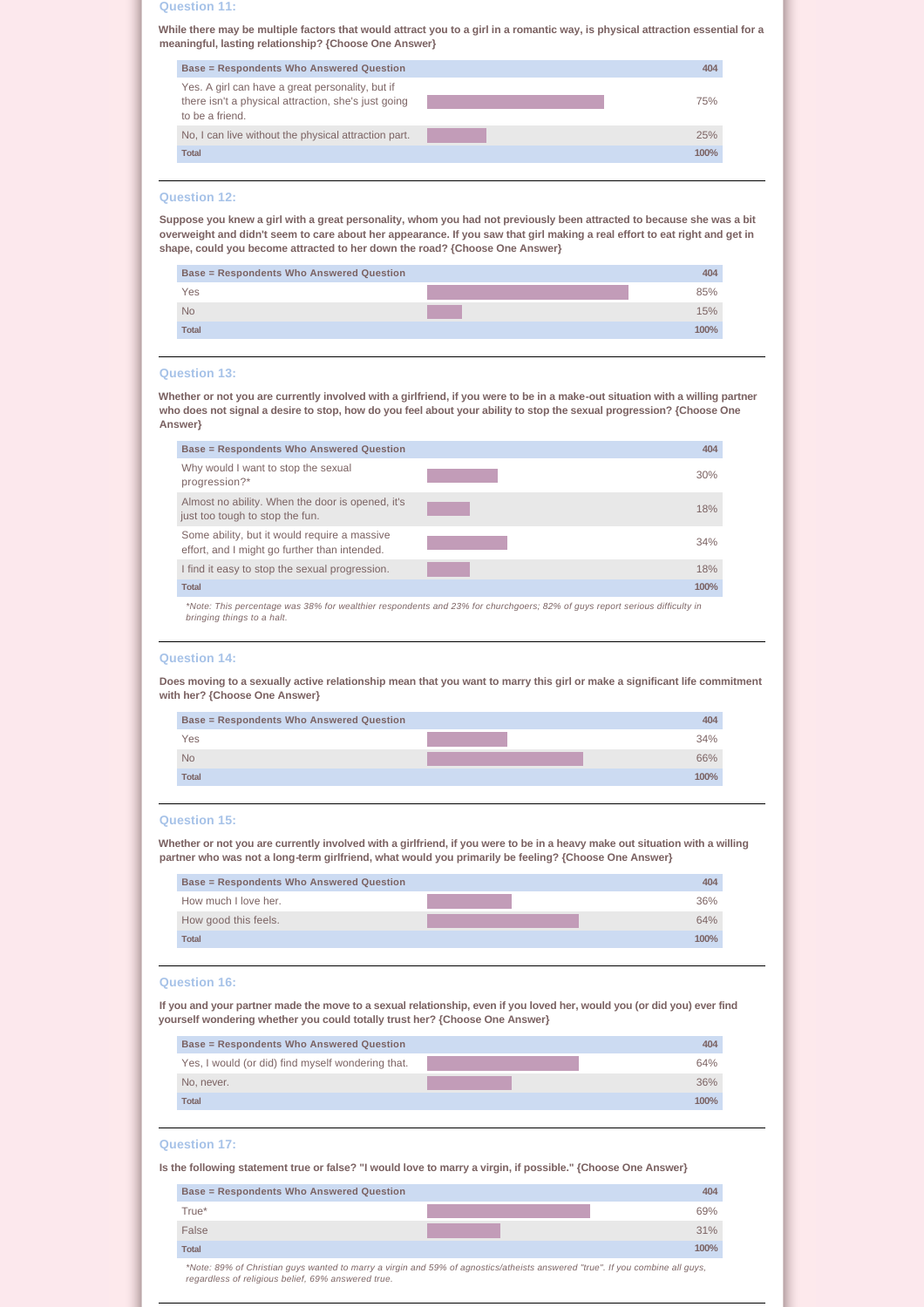# **Question 11:**

**While there may be multiple factors that would attract you to a girl in a romantic way, is physical attraction essential for a meaningful, lasting relationship? {Choose One Answer}**

| <b>Base = Respondents Who Answered Question</b>                                                                            | 404  |
|----------------------------------------------------------------------------------------------------------------------------|------|
| Yes. A girl can have a great personality, but if<br>there isn't a physical attraction, she's just going<br>to be a friend. | 75%  |
| No, I can live without the physical attraction part.                                                                       | 25%  |
| <b>Total</b>                                                                                                               | 100% |
|                                                                                                                            |      |

# **Question 12:**

**Suppose you knew a girl with a great personality, whom you had not previously been attracted to because she was a bit overweight and didn't seem to care about her appearance. If you saw that girl making a real effort to eat right and get in shape, could you become attracted to her down the road? {Choose One Answer}**

| Yes<br><b>No</b><br><b>Total</b> | <b>Base = Respondents Who Answered Question</b> | 404  |
|----------------------------------|-------------------------------------------------|------|
|                                  |                                                 | 85%  |
|                                  |                                                 | 15%  |
|                                  |                                                 | 100% |

#### **Question 13:**

**Whether or not you are currently involved with a girlfriend, if you were to be in a make-out situation with a willing partner who does not signal a desire to stop, how do you feel about your ability to stop the sexual progression? {Choose One Answer}**

| <b>Base = Respondents Who Answered Question</b>                                               | 404                                                                                                                        |
|-----------------------------------------------------------------------------------------------|----------------------------------------------------------------------------------------------------------------------------|
| Why would I want to stop the sexual<br>progression?*                                          | 30%                                                                                                                        |
| Almost no ability. When the door is opened, it's<br>just too tough to stop the fun.           | 18%                                                                                                                        |
| Some ability, but it would require a massive<br>effort, and I might go further than intended. | 34%                                                                                                                        |
| I find it easy to stop the sexual progression.                                                | 18%                                                                                                                        |
| <b>Total</b>                                                                                  | 100%                                                                                                                       |
|                                                                                               | *Note: This perceptage was 38% for wealthier respondents and 23% for churchgoers: 82% of guys report serious difficulty in |

*\*Note: This percentage was 38% for wealthier respondents and 23% for churchgoers; 82% of guys report serious difficulty in bringing things to a halt.*

# **Question 14:**

**Does moving to a sexually active relationship mean that you want to marry this girl or make a significant life commitment with her? {Choose One Answer}**

| 404  |
|------|
| 34%  |
| 66%  |
| 100% |
|      |

# **Question 15:**

**Whether or not you are currently involved with a girlfriend, if you were to be in a heavy make out situation with a willing partner who was not a long-term girlfriend, what would you primarily be feeling? {Choose One Answer}**

| Base = Respondents Who Answered Question | 404  |
|------------------------------------------|------|
| How much I love her.                     | 36%  |
| How good this feels.                     | 64%  |
| <b>Total</b>                             | 100% |

#### **Question 16:**

**If you and your partner made the move to a sexual relationship, even if you loved her, would you (or did you) ever find yourself wondering whether you could totally trust her? {Choose One Answer}**

| <b>Base = Respondents Who Answered Question</b>   | 404  |
|---------------------------------------------------|------|
| Yes, I would (or did) find myself wondering that. | 64%  |
| No. never.                                        | 36%  |
| <b>Total</b>                                      | 100% |

#### **Question 17:**

**Is the following statement true or false? "I would love to marry a virgin, if possible." {Choose One Answer}**

| <b>Base = Respondents Who Answered Question</b> | 404  |
|-------------------------------------------------|------|
| True*                                           | 69%  |
| False                                           | 31%  |
| <b>Total</b>                                    | 100% |

*\*Note: 89% of Christian guys wanted to marry a virgin and 59% of agnostics/atheists answered "true". If you combine all guys, regardless of religious belief, 69% answered true.*